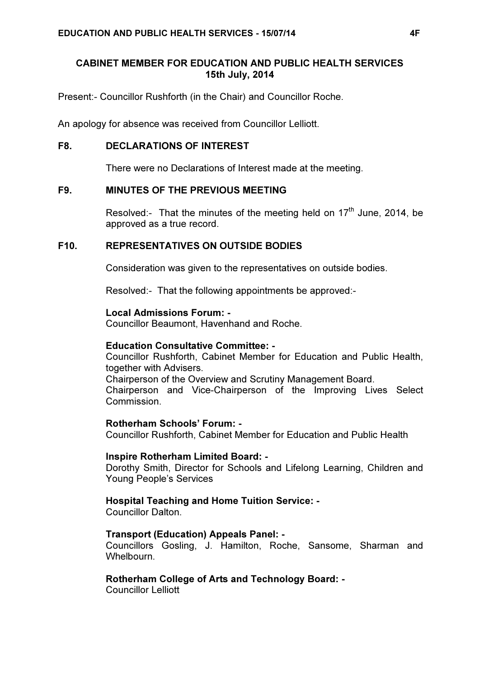# CABINET MEMBER FOR EDUCATION AND PUBLIC HEALTH SERVICES 15th July, 2014

Present:- Councillor Rushforth (in the Chair) and Councillor Roche.

An apology for absence was received from Councillor Lelliott.

# F8. DECLARATIONS OF INTEREST

There were no Declarations of Interest made at the meeting.

# F9. MINUTES OF THE PREVIOUS MEETING

Resolved:- That the minutes of the meeting held on  $17<sup>th</sup>$  June, 2014, be approved as a true record.

# F10. REPRESENTATIVES ON OUTSIDE BODIES

Consideration was given to the representatives on outside bodies.

Resolved:- That the following appointments be approved:-

## Local Admissions Forum: -

Councillor Beaumont, Havenhand and Roche.

#### Education Consultative Committee: -

Councillor Rushforth, Cabinet Member for Education and Public Health, together with Advisers.

Chairperson of the Overview and Scrutiny Management Board.

Chairperson and Vice-Chairperson of the Improving Lives Select Commission.

#### Rotherham Schools' Forum: -

Councillor Rushforth, Cabinet Member for Education and Public Health

#### Inspire Rotherham Limited Board: -

Dorothy Smith, Director for Schools and Lifelong Learning, Children and Young People's Services

## Hospital Teaching and Home Tuition Service: -

Councillor Dalton.

## Transport (Education) Appeals Panel: -

Councillors Gosling, J. Hamilton, Roche, Sansome, Sharman and Whelbourn.

## Rotherham College of Arts and Technology Board: -

Councillor Lelliott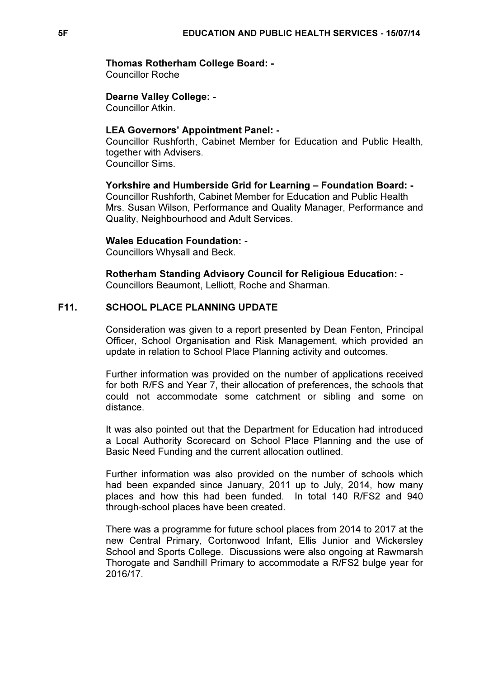### Thomas Rotherham College Board: -

Councillor Roche

Dearne Valley College: - Councillor Atkin.

#### LEA Governors' Appointment Panel: -

Councillor Rushforth, Cabinet Member for Education and Public Health, together with Advisers. Councillor Sims.

## Yorkshire and Humberside Grid for Learning – Foundation Board: -

Councillor Rushforth, Cabinet Member for Education and Public Health Mrs. Susan Wilson, Performance and Quality Manager, Performance and Quality, Neighbourhood and Adult Services.

## Wales Education Foundation: -

Councillors Whysall and Beck.

Rotherham Standing Advisory Council for Religious Education: - Councillors Beaumont, Lelliott, Roche and Sharman.

# F11. SCHOOL PLACE PLANNING UPDATE

 Consideration was given to a report presented by Dean Fenton, Principal Officer, School Organisation and Risk Management, which provided an update in relation to School Place Planning activity and outcomes.

Further information was provided on the number of applications received for both R/FS and Year 7, their allocation of preferences, the schools that could not accommodate some catchment or sibling and some on distance.

It was also pointed out that the Department for Education had introduced a Local Authority Scorecard on School Place Planning and the use of Basic Need Funding and the current allocation outlined.

Further information was also provided on the number of schools which had been expanded since January, 2011 up to July, 2014, how many places and how this had been funded. In total 140 R/FS2 and 940 through-school places have been created.

There was a programme for future school places from 2014 to 2017 at the new Central Primary, Cortonwood Infant, Ellis Junior and Wickersley School and Sports College. Discussions were also ongoing at Rawmarsh Thorogate and Sandhill Primary to accommodate a R/FS2 bulge year for 2016/17.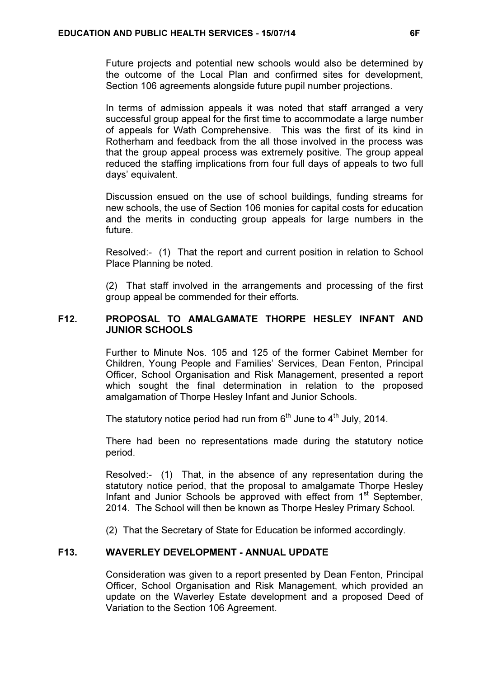Future projects and potential new schools would also be determined by the outcome of the Local Plan and confirmed sites for development, Section 106 agreements alongside future pupil number projections.

In terms of admission appeals it was noted that staff arranged a very successful group appeal for the first time to accommodate a large number of appeals for Wath Comprehensive. This was the first of its kind in Rotherham and feedback from the all those involved in the process was that the group appeal process was extremely positive. The group appeal reduced the staffing implications from four full days of appeals to two full days' equivalent.

Discussion ensued on the use of school buildings, funding streams for new schools, the use of Section 106 monies for capital costs for education and the merits in conducting group appeals for large numbers in the future.

Resolved:- (1) That the report and current position in relation to School Place Planning be noted.

(2) That staff involved in the arrangements and processing of the first group appeal be commended for their efforts.

## F12. PROPOSAL TO AMALGAMATE THORPE HESLEY INFANT AND JUNIOR SCHOOLS

 Further to Minute Nos. 105 and 125 of the former Cabinet Member for Children, Young People and Families' Services, Dean Fenton, Principal Officer, School Organisation and Risk Management, presented a report which sought the final determination in relation to the proposed amalgamation of Thorpe Hesley Infant and Junior Schools.

The statutory notice period had run from  $6<sup>th</sup>$  June to  $4<sup>th</sup>$  July, 2014.

There had been no representations made during the statutory notice period.

Resolved:- (1) That, in the absence of any representation during the statutory notice period, that the proposal to amalgamate Thorpe Hesley Infant and Junior Schools be approved with effect from 1<sup>st</sup> September, 2014. The School will then be known as Thorpe Hesley Primary School.

(2) That the Secretary of State for Education be informed accordingly.

# F13. WAVERLEY DEVELOPMENT - ANNUAL UPDATE

 Consideration was given to a report presented by Dean Fenton, Principal Officer, School Organisation and Risk Management, which provided an update on the Waverley Estate development and a proposed Deed of Variation to the Section 106 Agreement.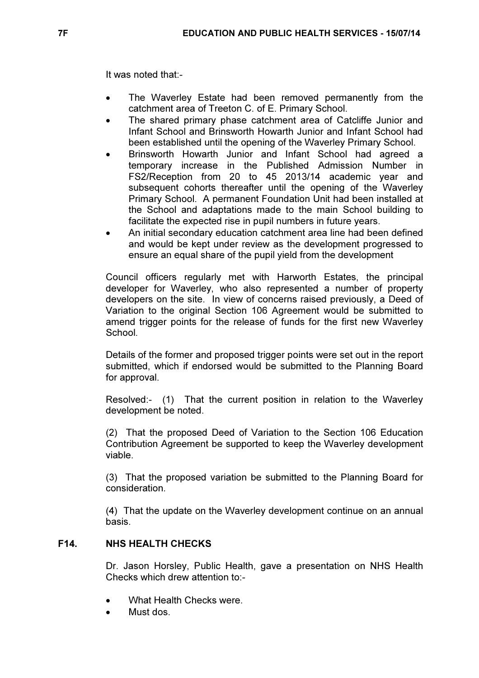It was noted that:-

- The Waverley Estate had been removed permanently from the catchment area of Treeton C. of E. Primary School.
- The shared primary phase catchment area of Catcliffe Junior and Infant School and Brinsworth Howarth Junior and Infant School had been established until the opening of the Waverley Primary School.
- Brinsworth Howarth Junior and Infant School had agreed a temporary increase in the Published Admission Number in FS2/Reception from 20 to 45 2013/14 academic year and subsequent cohorts thereafter until the opening of the Waverley Primary School. A permanent Foundation Unit had been installed at the School and adaptations made to the main School building to facilitate the expected rise in pupil numbers in future years.
- An initial secondary education catchment area line had been defined and would be kept under review as the development progressed to ensure an equal share of the pupil yield from the development

Council officers regularly met with Harworth Estates, the principal developer for Waverley, who also represented a number of property developers on the site. In view of concerns raised previously, a Deed of Variation to the original Section 106 Agreement would be submitted to amend trigger points for the release of funds for the first new Waverley **School** 

Details of the former and proposed trigger points were set out in the report submitted, which if endorsed would be submitted to the Planning Board for approval.

Resolved:- (1) That the current position in relation to the Waverley development be noted.

(2) That the proposed Deed of Variation to the Section 106 Education Contribution Agreement be supported to keep the Waverley development viable.

(3) That the proposed variation be submitted to the Planning Board for consideration.

(4) That the update on the Waverley development continue on an annual basis.

# F14. NHS HEALTH CHECKS

 Dr. Jason Horsley, Public Health, gave a presentation on NHS Health Checks which drew attention to:-

- What Health Checks were
- Must dos.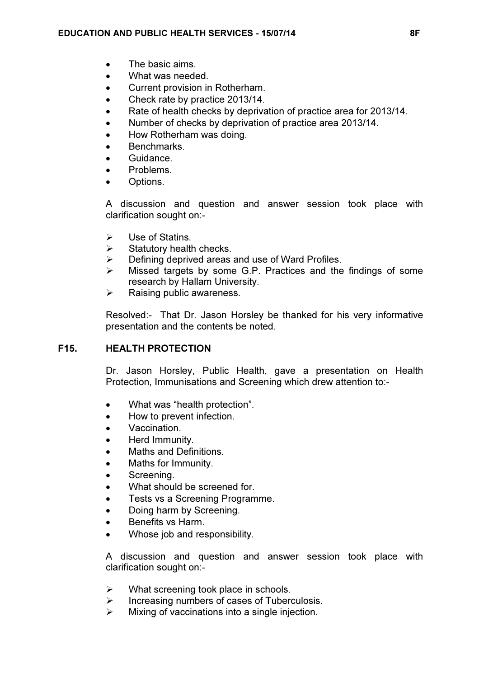- The basic aims.
- What was needed.
- Current provision in Rotherham.
- Check rate by practice 2013/14.
- Rate of health checks by deprivation of practice area for 2013/14.
- Number of checks by deprivation of practice area 2013/14.
- How Rotherham was doing.
- **Benchmarks**
- Guidance.
- Problems.
- Options.

A discussion and question and answer session took place with clarification sought on:-

- $\triangleright$  Use of Statins.
- $\triangleright$  Statutory health checks.
- $\triangleright$  Defining deprived areas and use of Ward Profiles.
- $\triangleright$  Missed targets by some G.P. Practices and the findings of some research by Hallam University.
- $\triangleright$  Raising public awareness.

Resolved:- That Dr. Jason Horsley be thanked for his very informative presentation and the contents be noted.

# F15. HEALTH PROTECTION

 Dr. Jason Horsley, Public Health, gave a presentation on Health Protection, Immunisations and Screening which drew attention to:-

- What was "health protection".
- How to prevent infection.
- Vaccination.
- Herd Immunity.
- Maths and Definitions.
- Maths for Immunity.
- Screening.
- What should be screened for.
- Tests vs a Screening Programme.
- Doing harm by Screening.
- Benefits vs Harm.
- Whose job and responsibility.

A discussion and question and answer session took place with clarification sought on:-

- $\triangleright$  What screening took place in schools.
- $\triangleright$  Increasing numbers of cases of Tuberculosis.
- $\triangleright$  Mixing of vaccinations into a single injection.